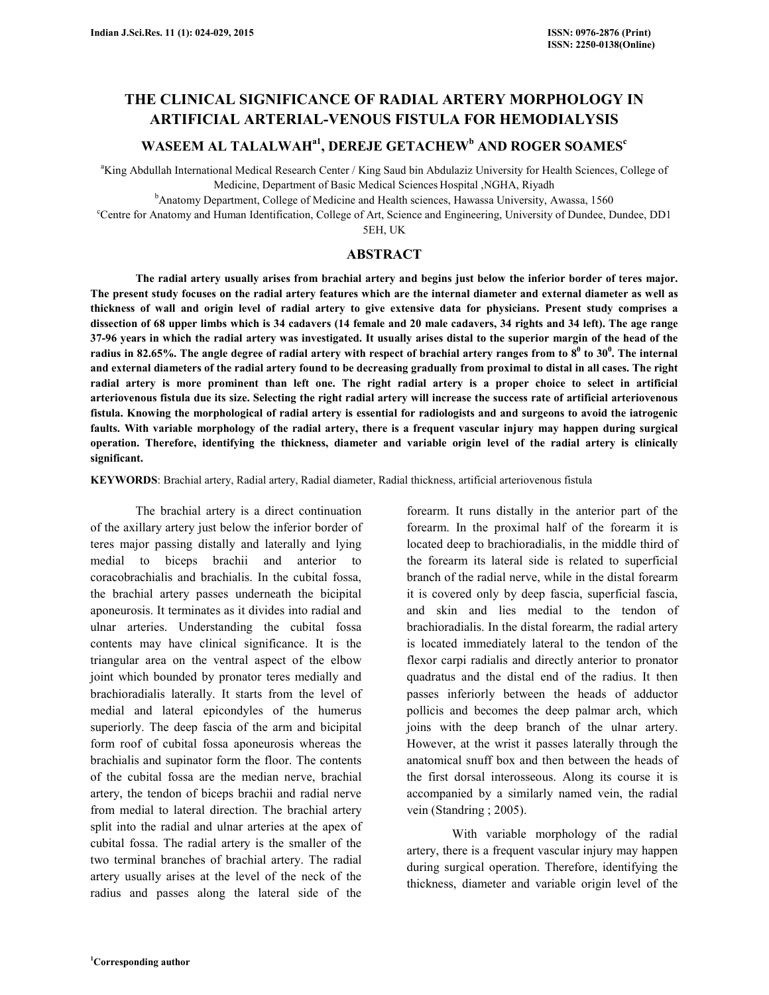# **THE CLINICAL SIGNIFICANCE OF RADIAL ARTERY MORPHOLOGY IN ARTIFICIAL ARTERIAL-VENOUS FISTULA FOR HEMODIALYSIS**

## **WASEEM AL TALALWAHa1, DEREJE GETACHEW<sup>b</sup> AND ROGER SOAMES<sup>c</sup>**

<sup>a</sup>King Abdullah International Medical Research Center / King Saud bin Abdulaziz University for Health Sciences, College of Medicine, Department of Basic Medical Sciences Hospital ,NGHA, Riyadh

<sup>b</sup>Anatomy Department, College of Medicine and Health sciences, Hawassa University, Awassa, 1560

<sup>c</sup>Centre for Anatomy and Human Identification, College of Art, Science and Engineering, University of Dundee, Dundee, DD1

5EH, UK

### **ABSTRACT**

 **The radial artery usually arises from brachial artery and begins just below the inferior border of teres major. The present study focuses on the radial artery features which are the internal diameter and external diameter as well as thickness of wall and origin level of radial artery to give extensive data for physicians. Present study comprises a dissection of 68 upper limbs which is 34 cadavers (14 female and 20 male cadavers, 34 rights and 34 left). The age range 37-96 years in which the radial artery was investigated. It usually arises distal to the superior margin of the head of the radius in 82.65%. The angle degree of radial artery with respect of brachial artery ranges from to 8<sup>0</sup> to 30<sup>0</sup> . The internal and external diameters of the radial artery found to be decreasing gradually from proximal to distal in all cases. The right radial artery is more prominent than left one. The right radial artery is a proper choice to select in artificial arteriovenous fistula due its size. Selecting the right radial artery will increase the success rate of artificial arteriovenous fistula. Knowing the morphological of radial artery is essential for radiologists and and surgeons to avoid the iatrogenic faults. With variable morphology of the radial artery, there is a frequent vascular injury may happen during surgical operation. Therefore, identifying the thickness, diameter and variable origin level of the radial artery is clinically significant.** 

**KEYWORDS**: Brachial artery, Radial artery, Radial diameter, Radial thickness, artificial arteriovenous fistula

 The brachial artery is a direct continuation of the axillary artery just below the inferior border of teres major passing distally and laterally and lying medial to biceps brachii and anterior to coracobrachialis and brachialis. In the cubital fossa, the brachial artery passes underneath the bicipital aponeurosis. It terminates as it divides into radial and ulnar arteries. Understanding the cubital fossa contents may have clinical significance. It is the triangular area on the ventral aspect of the elbow joint which bounded by pronator teres medially and brachioradialis laterally. It starts from the level of medial and lateral epicondyles of the humerus superiorly. The deep fascia of the arm and bicipital form roof of cubital fossa aponeurosis whereas the brachialis and supinator form the floor. The contents of the cubital fossa are the median nerve, brachial artery, the tendon of biceps brachii and radial nerve from medial to lateral direction. The brachial artery split into the radial and ulnar arteries at the apex of cubital fossa. The radial artery is the smaller of the two terminal branches of brachial artery. The radial artery usually arises at the level of the neck of the radius and passes along the lateral side of the

forearm. It runs distally in the anterior part of the forearm. In the proximal half of the forearm it is located deep to brachioradialis, in the middle third of the forearm its lateral side is related to superficial branch of the radial nerve, while in the distal forearm it is covered only by deep fascia, superficial fascia, and skin and lies medial to the tendon of brachioradialis. In the distal forearm, the radial artery is located immediately lateral to the tendon of the flexor carpi radialis and directly anterior to pronator quadratus and the distal end of the radius. It then passes inferiorly between the heads of adductor pollicis and becomes the deep palmar arch, which joins with the deep branch of the ulnar artery. However, at the wrist it passes laterally through the anatomical snuff box and then between the heads of the first dorsal interosseous. Along its course it is accompanied by a similarly named vein, the radial vein (Standring ; 2005).

 With variable morphology of the radial artery, there is a frequent vascular injury may happen during surgical operation. Therefore, identifying the thickness, diameter and variable origin level of the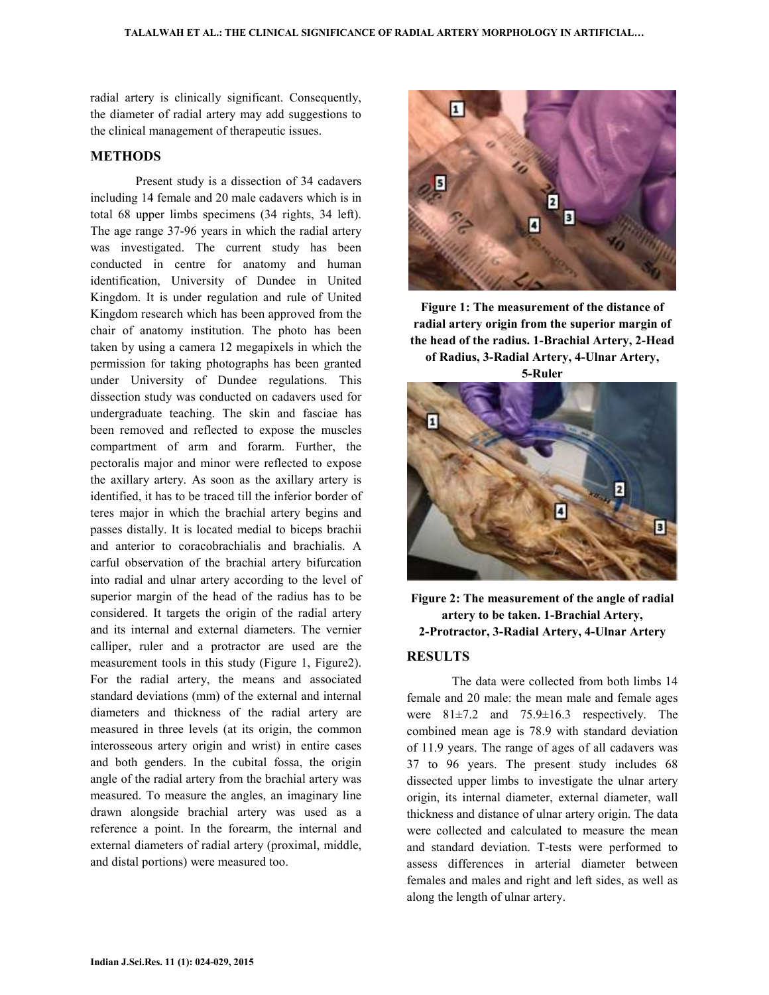radial artery is clinically significant. Consequently, the diameter of radial artery may add suggestions to the clinical management of therapeutic issues.

#### **METHODS**

 Present study is a dissection of 34 cadavers including 14 female and 20 male cadavers which is in total 68 upper limbs specimens (34 rights, 34 left). The age range 37-96 years in which the radial artery was investigated. The current study has been conducted in centre for anatomy and human identification, University of Dundee in United Kingdom. It is under regulation and rule of United Kingdom research which has been approved from the chair of anatomy institution. The photo has been taken by using a camera 12 megapixels in which the permission for taking photographs has been granted under University of Dundee regulations. This dissection study was conducted on cadavers used for undergraduate teaching. The skin and fasciae has been removed and reflected to expose the muscles compartment of arm and forarm. Further, the pectoralis major and minor were reflected to expose the axillary artery. As soon as the axillary artery is identified, it has to be traced till the inferior border of teres major in which the brachial artery begins and passes distally. It is located medial to biceps brachii and anterior to coracobrachialis and brachialis. A carful observation of the brachial artery bifurcation into radial and ulnar artery according to the level of superior margin of the head of the radius has to be considered. It targets the origin of the radial artery and its internal and external diameters. The vernier calliper, ruler and a protractor are used are the measurement tools in this study (Figure 1, Figure2). For the radial artery, the means and associated standard deviations (mm) of the external and internal diameters and thickness of the radial artery are measured in three levels (at its origin, the common interosseous artery origin and wrist) in entire cases and both genders. In the cubital fossa, the origin angle of the radial artery from the brachial artery was measured. To measure the angles, an imaginary line drawn alongside brachial artery was used as a reference a point. In the forearm, the internal and external diameters of radial artery (proximal, middle, and distal portions) were measured too.



**Figure 1: The measurement of the distance of radial artery origin from the superior margin of the head of the radius. 1-Brachial Artery, 2-Head of Radius, 3-Radial Artery, 4-Ulnar Artery,** 

**5-Ruler**



**Figure 2: The measurement of the angle of radial artery to be taken. 1-Brachial Artery, 2-Protractor, 3-Radial Artery, 4-Ulnar Artery** 

### **RESULTS**

 The data were collected from both limbs 14 female and 20 male: the mean male and female ages were 81±7.2 and 75.9±16.3 respectively. The combined mean age is 78.9 with standard deviation of 11.9 years. The range of ages of all cadavers was 37 to 96 years. The present study includes 68 dissected upper limbs to investigate the ulnar artery origin, its internal diameter, external diameter, wall thickness and distance of ulnar artery origin. The data were collected and calculated to measure the mean and standard deviation. T-tests were performed to assess differences in arterial diameter between females and males and right and left sides, as well as along the length of ulnar artery.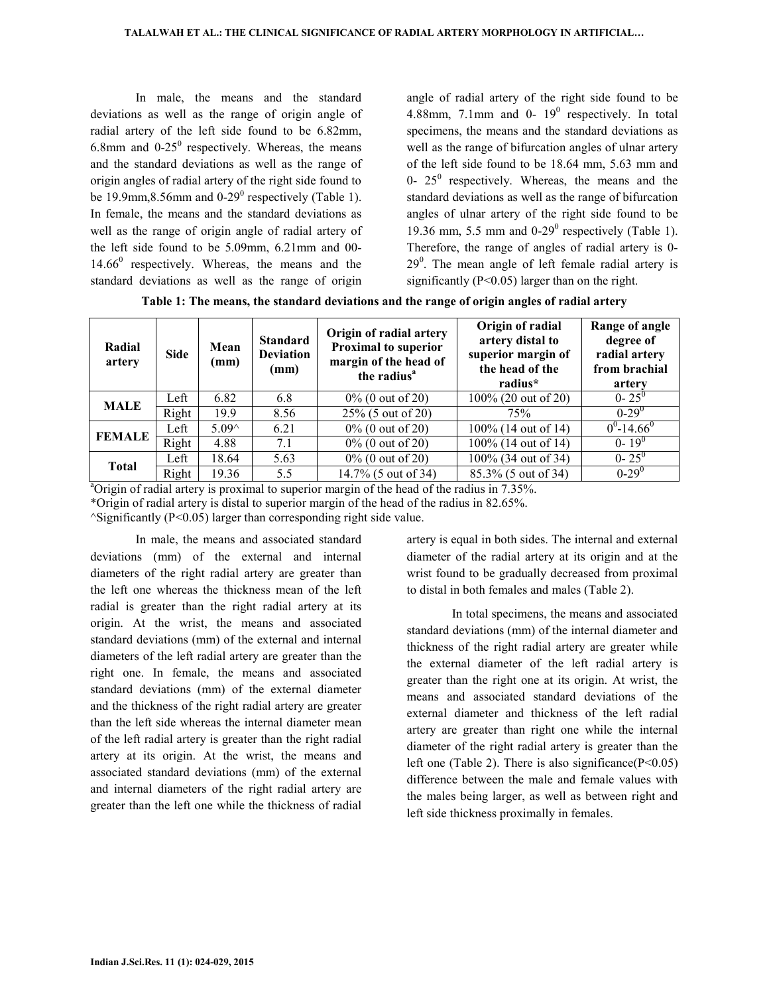In male, the means and the standard deviations as well as the range of origin angle of radial artery of the left side found to be 6.82mm, 6.8mm and  $0-25^{\circ}$  respectively. Whereas, the means and the standard deviations as well as the range of origin angles of radial artery of the right side found to be 19.9mm,8.56mm and  $0-29^0$  respectively (Table 1). In female, the means and the standard deviations as well as the range of origin angle of radial artery of the left side found to be 5.09mm, 6.21mm and 00-  $14.66<sup>0</sup>$  respectively. Whereas, the means and the standard deviations as well as the range of origin

angle of radial artery of the right side found to be 4.88mm, 7.1mm and 0- $19^0$  respectively. In total specimens, the means and the standard deviations as well as the range of bifurcation angles of ulnar artery of the left side found to be 18.64 mm, 5.63 mm and 0-  $25^{\circ}$  respectively. Whereas, the means and the standard deviations as well as the range of bifurcation angles of ulnar artery of the right side found to be 19.36 mm, 5.5 mm and  $0-29^\circ$  respectively (Table 1). Therefore, the range of angles of radial artery is 0-  $29<sup>0</sup>$ . The mean angle of left female radial artery is significantly (Ρ<0.05) larger than on the right.

**Table 1: The means, the standard deviations and the range of origin angles of radial artery** 

| Radial<br>artery | <b>Side</b> | Mean<br>(mm)   | <b>Standard</b><br><b>Deviation</b><br>(mm) | Origin of radial artery<br><b>Proximal to superior</b><br>margin of the head of<br>the radius <sup>a</sup> | Origin of radial<br>artery distal to<br>superior margin of<br>the head of the<br>radius* | Range of angle<br>degree of<br>radial artery<br>from brachial<br>artery |
|------------------|-------------|----------------|---------------------------------------------|------------------------------------------------------------------------------------------------------------|------------------------------------------------------------------------------------------|-------------------------------------------------------------------------|
| <b>MALE</b>      | Left        | 6.82           | 6.8                                         | $0\%$ (0 out of 20)                                                                                        | 100% (20 out of 20)                                                                      | $0 - 25^0$                                                              |
|                  | Right       | 19.9           | 8.56                                        | 25% (5 out of 20)                                                                                          | 75%                                                                                      | $0 - 29$ <sup>0</sup>                                                   |
| <b>FEMALE</b>    | Left        | $5.09^{\circ}$ | 6.21                                        | $0\%$ (0 out of 20)                                                                                        | 100% (14 out of 14)                                                                      | $0^0$ -14.66 <sup>0</sup>                                               |
|                  | Right       | 4.88           | 7.1                                         | $0\%$ (0 out of 20)                                                                                        | 100% (14 out of 14)                                                                      | $0 - 19^{0}$                                                            |
| <b>Total</b>     | Left        | 18.64          | 5.63                                        | $0\%$ (0 out of 20)                                                                                        | 100% (34 out of 34)                                                                      | $0 - 25^0$                                                              |
|                  | Right       | 19.36          | 5.5                                         | 14.7% (5 out of 34)                                                                                        | 85.3% (5 out of 34)                                                                      | $0-29^0$                                                                |

<sup>a</sup>Origin of radial artery is proximal to superior margin of the head of the radius in 7.35%.

\*Origin of radial artery is distal to superior margin of the head of the radius in 82.65%.

^Significantly (Ρ<0.05) larger than corresponding right side value.

 In male, the means and associated standard deviations (mm) of the external and internal diameters of the right radial artery are greater than the left one whereas the thickness mean of the left radial is greater than the right radial artery at its origin. At the wrist, the means and associated standard deviations (mm) of the external and internal diameters of the left radial artery are greater than the right one. In female, the means and associated standard deviations (mm) of the external diameter and the thickness of the right radial artery are greater than the left side whereas the internal diameter mean of the left radial artery is greater than the right radial artery at its origin. At the wrist, the means and associated standard deviations (mm) of the external and internal diameters of the right radial artery are greater than the left one while the thickness of radial artery is equal in both sides. The internal and external diameter of the radial artery at its origin and at the wrist found to be gradually decreased from proximal to distal in both females and males (Table 2).

 In total specimens, the means and associated standard deviations (mm) of the internal diameter and thickness of the right radial artery are greater while the external diameter of the left radial artery is greater than the right one at its origin. At wrist, the means and associated standard deviations of the external diameter and thickness of the left radial artery are greater than right one while the internal diameter of the right radial artery is greater than the left one (Table 2). There is also significance(Ρ<0.05) difference between the male and female values with the males being larger, as well as between right and left side thickness proximally in females.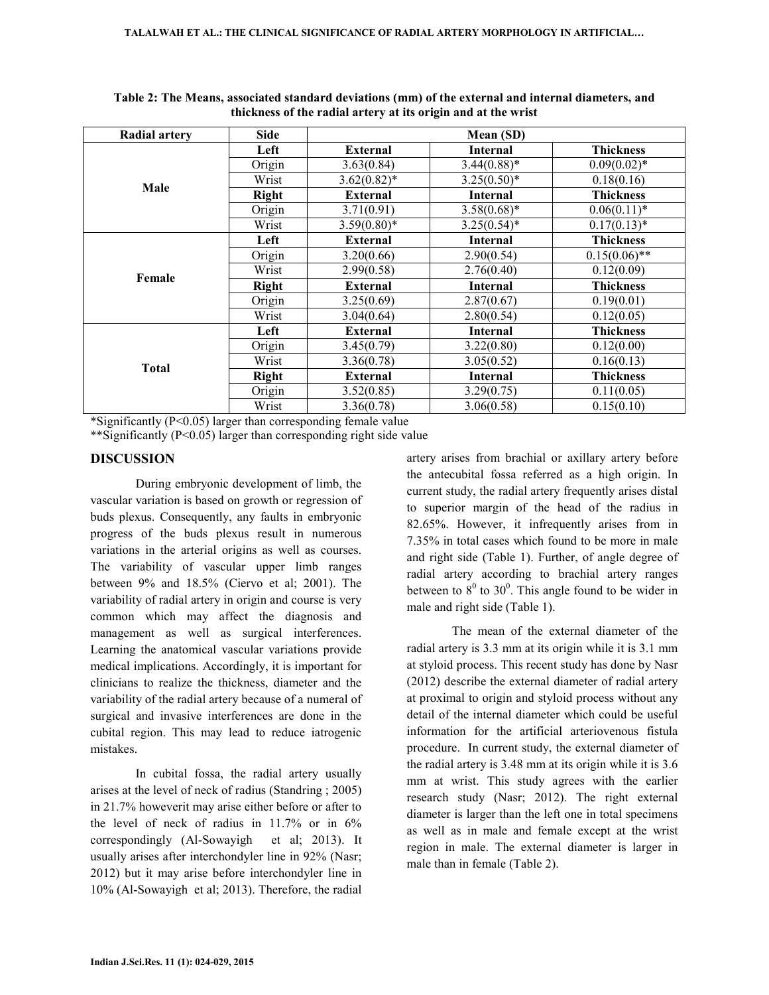| <b>Radial artery</b> | <b>Side</b>  |                 | Mean (SD)       |                  |
|----------------------|--------------|-----------------|-----------------|------------------|
|                      | Left         | External        | <b>Internal</b> | <b>Thickness</b> |
|                      | Origin       | 3.63(0.84)      | $3.44(0.88)*$   | $0.09(0.02)^*$   |
| Male                 | Wrist        | $3.62(0.82)^*$  | $3.25(0.50)*$   | 0.18(0.16)       |
|                      | <b>Right</b> | <b>External</b> | <b>Internal</b> | <b>Thickness</b> |
|                      | Origin       | 3.71(0.91)      | $3.58(0.68)$ *  | $0.06(0.11)*$    |
|                      | Wrist        | $3.59(0.80)$ *  | $3.25(0.54)$ *  | $0.17(0.13)^*$   |
|                      | Left         | <b>External</b> | <b>Internal</b> | <b>Thickness</b> |
|                      | Origin       | 3.20(0.66)      | 2.90(0.54)      | $0.15(0.06)$ **  |
| Female               | Wrist        | 2.99(0.58)      | 2.76(0.40)      | 0.12(0.09)       |
|                      | <b>Right</b> | <b>External</b> | <b>Internal</b> | <b>Thickness</b> |
|                      | Origin       | 3.25(0.69)      | 2.87(0.67)      | 0.19(0.01)       |
|                      | Wrist        | 3.04(0.64)      | 2.80(0.54)      | 0.12(0.05)       |
|                      | Left         | <b>External</b> | <b>Internal</b> | <b>Thickness</b> |
|                      | Origin       | 3.45(0.79)      | 3.22(0.80)      | 0.12(0.00)       |
| <b>Total</b>         | Wrist        | 3.36(0.78)      | 3.05(0.52)      | 0.16(0.13)       |
|                      | Right        | <b>External</b> | <b>Internal</b> | <b>Thickness</b> |
|                      | Origin       | 3.52(0.85)      | 3.29(0.75)      | 0.11(0.05)       |
|                      | Wrist        | 3.36(0.78)      | 3.06(0.58)      | 0.15(0.10)       |

**Table 2: The Means, associated standard deviations (mm) of the external and internal diameters, and thickness of the radial artery at its origin and at the wrist** 

\*Significantly (Ρ<0.05) larger than corresponding female value

\*\*Significantly (Ρ<0.05) larger than corresponding right side value

### **DISCUSSION**

 During embryonic development of limb, the vascular variation is based on growth or regression of buds plexus. Consequently, any faults in embryonic progress of the buds plexus result in numerous variations in the arterial origins as well as courses. The variability of vascular upper limb ranges between 9% and 18.5% (Ciervo et al; 2001). The variability of radial artery in origin and course is very common which may affect the diagnosis and management as well as surgical interferences. Learning the anatomical vascular variations provide medical implications. Accordingly, it is important for clinicians to realize the thickness, diameter and the variability of the radial artery because of a numeral of surgical and invasive interferences are done in the cubital region. This may lead to reduce iatrogenic mistakes.

 In cubital fossa, the radial artery usually arises at the level of neck of radius (Standring ; 2005) in 21.7% howeverit may arise either before or after to the level of neck of radius in  $11.7\%$  or in  $6\%$ correspondingly (Al-Sowayigh et al; 2013). It usually arises after interchondyler line in 92% (Nasr; 2012) but it may arise before interchondyler line in 10% (Al-Sowayigh et al; 2013). Therefore, the radial

artery arises from brachial or axillary artery before the antecubital fossa referred as a high origin. In current study, the radial artery frequently arises distal to superior margin of the head of the radius in 82.65%. However, it infrequently arises from in 7.35% in total cases which found to be more in male and right side (Table 1). Further, of angle degree of radial artery according to brachial artery ranges between to  $8^0$  to  $30^0$ . This angle found to be wider in male and right side (Table 1).

 The mean of the external diameter of the radial artery is 3.3 mm at its origin while it is 3.1 mm at styloid process. This recent study has done by Nasr (2012) describe the external diameter of radial artery at proximal to origin and styloid process without any detail of the internal diameter which could be useful information for the artificial arteriovenous fistula procedure. In current study, the external diameter of the radial artery is 3.48 mm at its origin while it is 3.6 mm at wrist. This study agrees with the earlier research study (Nasr; 2012). The right external diameter is larger than the left one in total specimens as well as in male and female except at the wrist region in male. The external diameter is larger in male than in female (Table 2).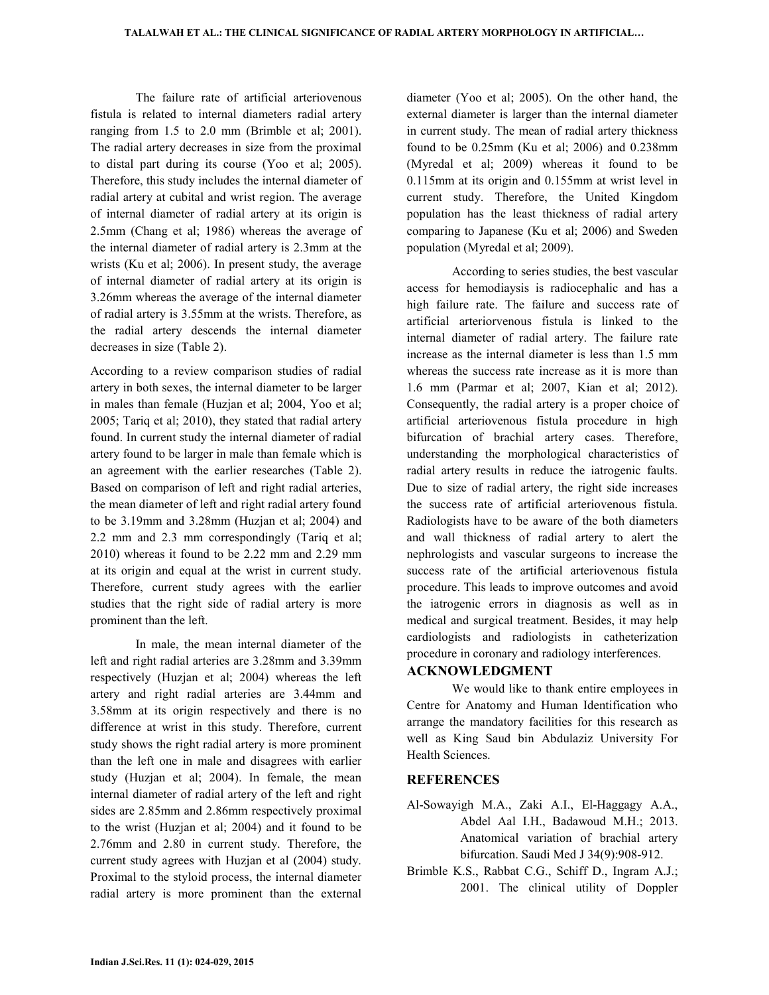The failure rate of artificial arteriovenous fistula is related to internal diameters radial artery ranging from 1.5 to 2.0 mm (Brimble et al; 2001). The radial artery decreases in size from the proximal to distal part during its course (Yoo et al; 2005). Therefore, this study includes the internal diameter of radial artery at cubital and wrist region. The average of internal diameter of radial artery at its origin is 2.5mm (Chang et al; 1986) whereas the average of the internal diameter of radial artery is 2.3mm at the wrists (Ku et al; 2006). In present study, the average of internal diameter of radial artery at its origin is 3.26mm whereas the average of the internal diameter of radial artery is 3.55mm at the wrists. Therefore, as the radial artery descends the internal diameter decreases in size (Table 2).

According to a review comparison studies of radial artery in both sexes, the internal diameter to be larger in males than female (Huzjan et al; 2004, Yoo et al; 2005; Tariq et al; 2010), they stated that radial artery found. In current study the internal diameter of radial artery found to be larger in male than female which is an agreement with the earlier researches (Table 2). Based on comparison of left and right radial arteries, the mean diameter of left and right radial artery found to be 3.19mm and 3.28mm (Huzjan et al; 2004) and 2.2 mm and 2.3 mm correspondingly (Tariq et al; 2010) whereas it found to be 2.22 mm and 2.29 mm at its origin and equal at the wrist in current study. Therefore, current study agrees with the earlier studies that the right side of radial artery is more prominent than the left.

 In male, the mean internal diameter of the left and right radial arteries are 3.28mm and 3.39mm respectively (Huzjan et al; 2004) whereas the left artery and right radial arteries are 3.44mm and 3.58mm at its origin respectively and there is no difference at wrist in this study. Therefore, current study shows the right radial artery is more prominent than the left one in male and disagrees with earlier study (Huzjan et al; 2004). In female, the mean internal diameter of radial artery of the left and right sides are 2.85mm and 2.86mm respectively proximal to the wrist (Huzjan et al; 2004) and it found to be 2.76mm and 2.80 in current study. Therefore, the current study agrees with Huzjan et al (2004) study. Proximal to the styloid process, the internal diameter radial artery is more prominent than the external

diameter (Yoo et al; 2005). On the other hand, the external diameter is larger than the internal diameter in current study. The mean of radial artery thickness found to be 0.25mm (Ku et al; 2006) and 0.238mm (Myredal et al; 2009) whereas it found to be 0.115mm at its origin and 0.155mm at wrist level in current study. Therefore, the United Kingdom population has the least thickness of radial artery comparing to Japanese (Ku et al; 2006) and Sweden population (Myredal et al; 2009).

 According to series studies, the best vascular access for hemodiaysis is radiocephalic and has a high failure rate. The failure and success rate of artificial arteriorvenous fistula is linked to the internal diameter of radial artery. The failure rate increase as the internal diameter is less than 1.5 mm whereas the success rate increase as it is more than 1.6 mm (Parmar et al; 2007, Kian et al; 2012). Consequently, the radial artery is a proper choice of artificial arteriovenous fistula procedure in high bifurcation of brachial artery cases. Therefore, understanding the morphological characteristics of radial artery results in reduce the iatrogenic faults. Due to size of radial artery, the right side increases the success rate of artificial arteriovenous fistula. Radiologists have to be aware of the both diameters and wall thickness of radial artery to alert the nephrologists and vascular surgeons to increase the success rate of the artificial arteriovenous fistula procedure. This leads to improve outcomes and avoid the iatrogenic errors in diagnosis as well as in medical and surgical treatment. Besides, it may help cardiologists and radiologists in catheterization procedure in coronary and radiology interferences.

### **ACKNOWLEDGMENT**

 We would like to thank entire employees in Centre for Anatomy and Human Identification who arrange the mandatory facilities for this research as well as King Saud bin Abdulaziz University For Health Sciences.

### **REFERENCES**

- Al-Sowayigh M.A., Zaki A.I., El-Haggagy A.A., Abdel Aal I.H., Badawoud M.H.; 2013. Anatomical variation of brachial artery bifurcation. Saudi Med J 34(9):908-912.
- Brimble K.S., Rabbat C.G., Schiff D., Ingram A.J.; 2001. The clinical utility of Doppler